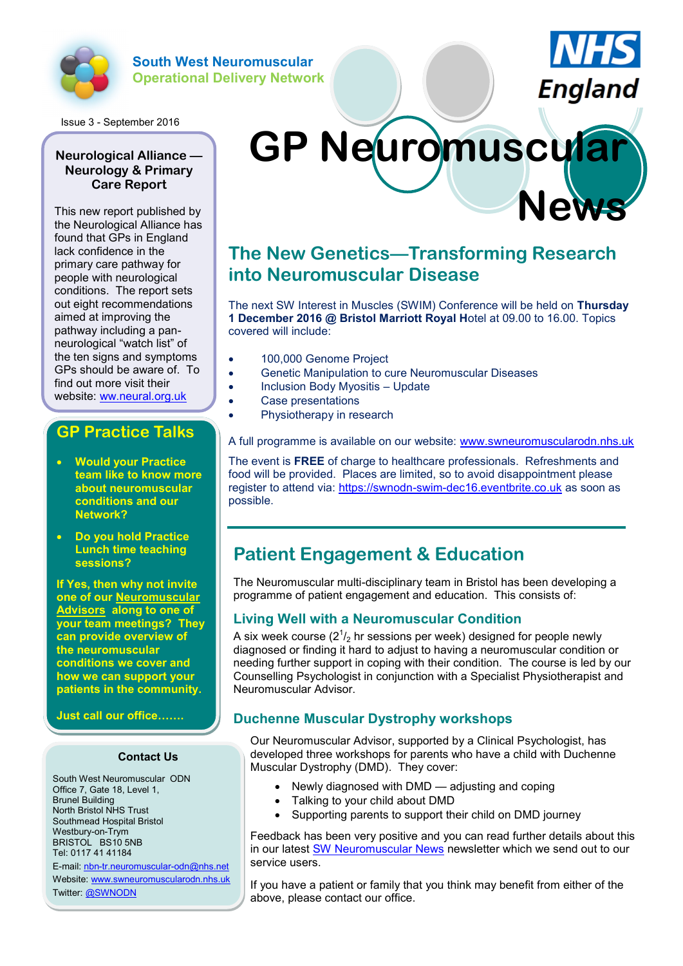

**South West Neuromuscular Operational Delivery Network** England

Issue 3 - September 2016

#### **Neurological Alliance — Neurology & Primary Care Report**

This new report published by the Neurological Alliance has found that GPs in England lack confidence in the primary care pathway for people with neurological conditions. The report sets out eight recommendations aimed at improving the pathway including a panneurological "watch list" of the ten signs and symptoms GPs should be aware of. To find out more visit their website: [ww.neural.org.uk](http://www.neural.org.uk/updates/272-New%20report%20into%20the%20primary%20care%20pathway%20for%20people%20with%20neurological%20conditions)

### **GP Practice Talks**

- **Would your Practice team like to know more about neuromuscular conditions and our Network?**
- **Do you hold Practice Lunch time teaching sessions?**

**If Yes, then why not invite one of our [Neuromuscular](https://www.nbt.nhs.uk/sites/default/files/SWNODN%20NM%20Advisor%20Role%20Leaflet%20%28April%202015%29.pdf)  [Advisors](https://www.nbt.nhs.uk/sites/default/files/SWNODN%20NM%20Advisor%20Role%20Leaflet%20%28April%202015%29.pdf) along to one of your team meetings? They can provide overview of the neuromuscular conditions we cover and how we can support your patients in the community.**

**Just call our office…….**

#### **Contact Us**

South West Neuromuscular ODN Office 7, Gate 18, Level 1, Brunel Building North Bristol NHS Trust Southmead Hospital Bristol Westbury-on-Trym BRISTOL BS10 5NB Tel: 0117 41 41184

E-mail: nbn-[tr.neuromuscular](mailto:nbn-tr.neuromuscular-odn@nhs.net)-odn@nhs.net Website: [www.swneuromuscularodn.nhs.uk](http://www.nbt.nhs.uk/swnmodn-0)  Twitter: [@SWNODN](https://twitter.com/SWNODN)

# **GP Neuromuscu News**

# **The New Genetics—Transforming Research into Neuromuscular Disease**

The next SW Interest in Muscles (SWIM) Conference will be held on **Thursday 1 December 2016 @ Bristol Marriott Royal H**otel at 09.00 to 16.00. Topics covered will include:

- **•** 100,000 Genome Project
- Genetic Manipulation to cure Neuromuscular Diseases
- Inclusion Body Myositis Update
- Case presentations
- Physiotherapy in research

A full programme is available on our website: [www.swneuromuscularodn.nhs.uk](https://www.nbt.nhs.uk/south-west-neuromuscular-operational-delivery-network/swnodn-clinicians/swnodn-events-professionals)

The event is **FREE** of charge to healthcare professionals. Refreshments and food will be provided. Places are limited, so to avoid disappointment please register to attend via: https://swnodn-swim-[dec16.eventbrite.co.uk](https://swnodn-swim-dec16.eventbrite.co.uk) as soon as possible.

# **Patient Engagement & Education**

The Neuromuscular multi-disciplinary team in Bristol has been developing a programme of patient engagement and education. This consists of:

#### **Living Well with a Neuromuscular Condition**

A six week course ( $2^{1}/_{2}$  hr sessions per week) designed for people newly diagnosed or finding it hard to adjust to having a neuromuscular condition or needing further support in coping with their condition. The course is led by our Counselling Psychologist in conjunction with a Specialist Physiotherapist and Neuromuscular Advisor.

#### **Duchenne Muscular Dystrophy workshops**

Our Neuromuscular Advisor, supported by a Clinical Psychologist, has developed three workshops for parents who have a child with Duchenne Muscular Dystrophy (DMD). They cover:

- Newly diagnosed with DMD adjusting and coping
- Talking to your child about DMD
- Supporting parents to support their child on DMD journey

Feedback has been very positive and you can read further details about this in our latest [SW Neuromuscular News](https://www.nbt.nhs.uk/sites/default/files/SWNODN_News_Iss4_Aug16.pdf) newsletter which we send out to our service users.

If you have a patient or family that you think may benefit from either of the above, please contact our office.